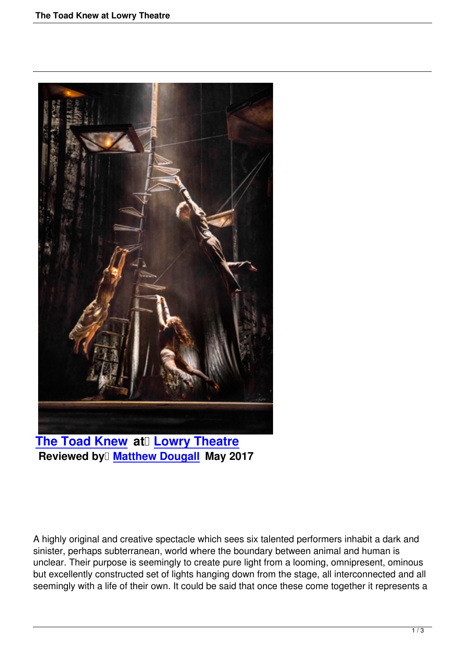

**Reviewed by Matthew Dougall May 2017** 

A highly original and creative spectacle which sees six talented performers inhabit a dark and sinister, perhaps subterranean, world where the boundary between animal and human is unclear. Their purpose is seemingly to create pure light from a looming, omnipresent, ominous but excellently constructed set of lights hanging down from the stage, all interconnected and all seemingly with a life of their own. It could be said that once these come together it represents a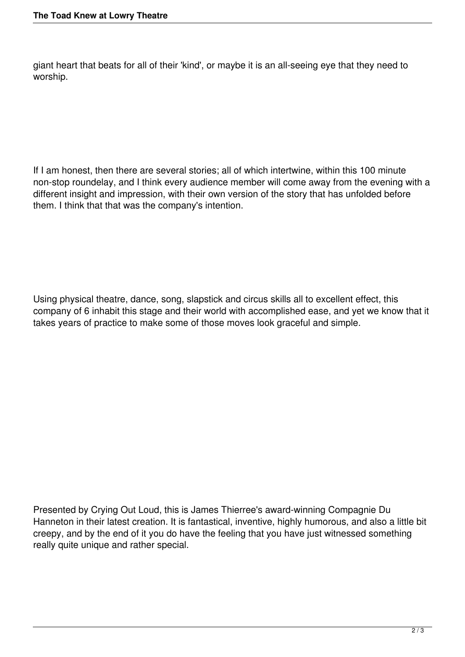giant heart that beats for all of their 'kind', or maybe it is an all-seeing eye that they need to worship.

If I am honest, then there are several stories; all of which intertwine, within this 100 minute non-stop roundelay, and I think every audience member will come away from the evening with a different insight and impression, with their own version of the story that has unfolded before them. I think that that was the company's intention.

Using physical theatre, dance, song, slapstick and circus skills all to excellent effect, this company of 6 inhabit this stage and their world with accomplished ease, and yet we know that it takes years of practice to make some of those moves look graceful and simple.

Presented by Crying Out Loud, this is James Thierree's award-winning Compagnie Du Hanneton in their latest creation. It is fantastical, inventive, highly humorous, and also a little bit creepy, and by the end of it you do have the feeling that you have just witnessed something really quite unique and rather special.